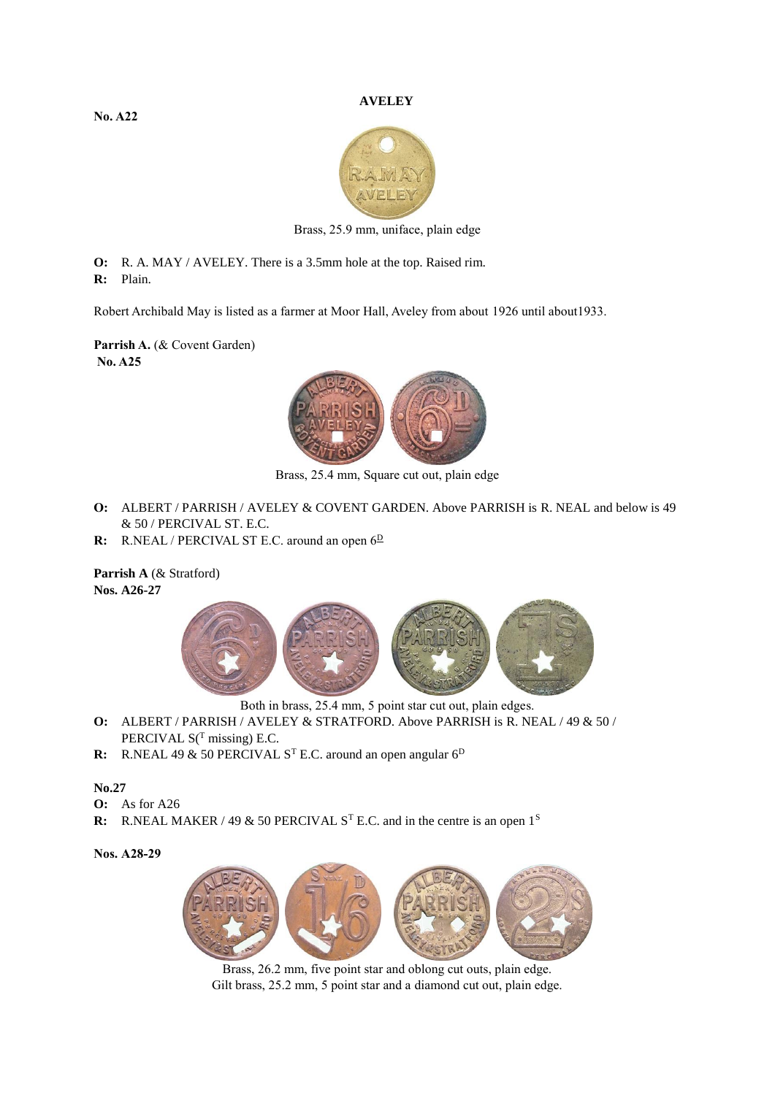## **AVELEY**

**No. A22**



Brass, 25.9 mm, uniface, plain edge

**O:** R. A. MAY / AVELEY. There is a 3.5mm hole at the top. Raised rim.

**R:** Plain.

Robert Archibald May is listed as a farmer at Moor Hall, Aveley from about 1926 until about1933.

**Parrish A.** (& Covent Garden) **No. A25**



Brass, 25.4 mm, Square cut out, plain edge

- **O:** ALBERT / PARRISH / AVELEY & COVENT GARDEN. Above PARRISH is R. NEAL and below is 49 & 50 / PERCIVAL ST. E.C.
- **R:** R.NEAL / PERCIVAL ST E.C. around an open  $6^{\underline{D}}$

**Parrish A** (& Stratford) **Nos. A26-27**



Both in brass, 25.4 mm, 5 point star cut out, plain edges.

- **O:** ALBERT / PARRISH / AVELEY & STRATFORD. Above PARRISH is R. NEAL / 49 & 50 / PERCIVAL  $S<sup>T</sup>$  missing) E.C.
- **R:** R.NEAL 49 & 50 PERCIVAL S<sup>T</sup> E.C. around an open angular 6<sup>D</sup>

## **No.27**

- **O:** As for A26
- **R:** R.NEAL MAKER / 49 & 50 PERCIVAL S<sup>T</sup> E.C. and in the centre is an open 1<sup>S</sup>

## **Nos. A28-29**



Brass, 26.2 mm, five point star and oblong cut outs, plain edge. Gilt brass, 25.2 mm, 5 point star and a diamond cut out, plain edge.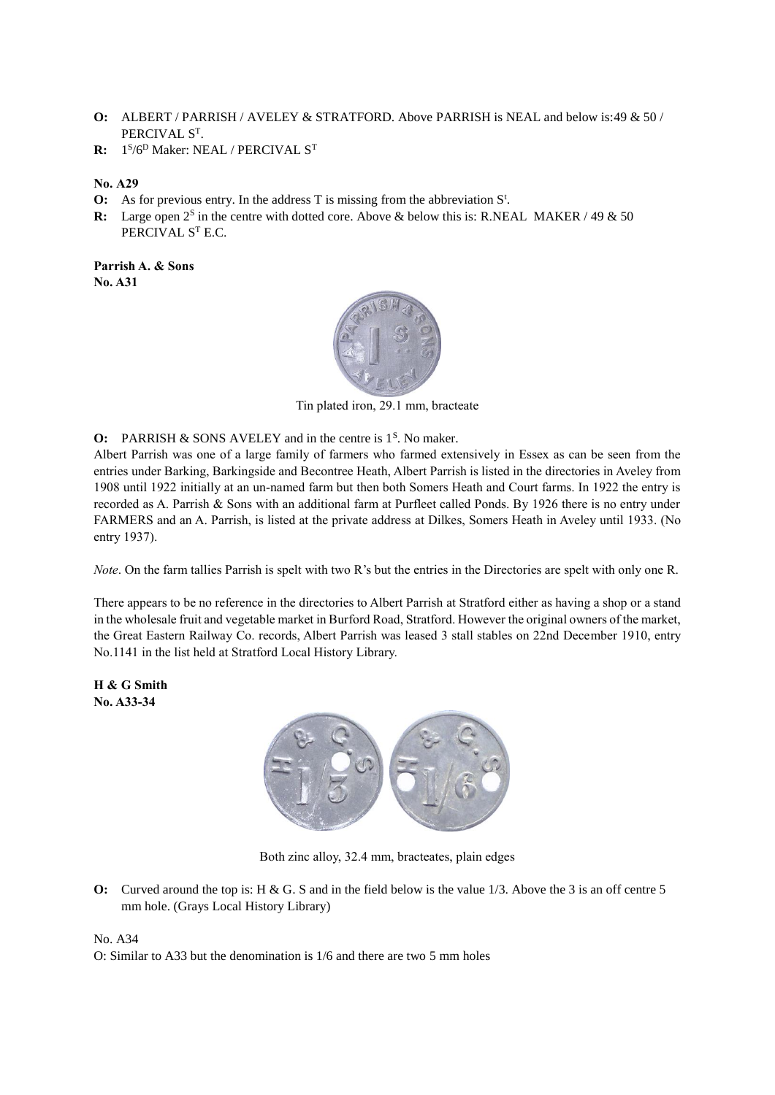- **O:** ALBERT / PARRISH / AVELEY & STRATFORD. Above PARRISH is NEAL and below is:49 & 50 / PERCIVAL S<sup>T</sup>.
- **R:** 1 S /6<sup>D</sup> Maker: NEAL / PERCIVAL S<sup>T</sup>
- **No. A29**
- **O:** As for previous entry. In the address  $T$  is missing from the abbreviation  $S^t$ .
- **R:** Large open  $2^s$  in the centre with dotted core. Above & below this is: R.NEAL MAKER / 49 & 50 PERCIVAL S<sup>T</sup> E.C.

**Parrish A. & Sons No. A31**



Tin plated iron, 29.1 mm, bracteate

**O:** PARRISH  $\&$  SONS AVELEY and in the centre is  $1<sup>S</sup>$ . No maker.

Albert Parrish was one of a large family of farmers who farmed extensively in Essex as can be seen from the entries under Barking, Barkingside and Becontree Heath, Albert Parrish is listed in the directories in Aveley from 1908 until 1922 initially at an un-named farm but then both Somers Heath and Court farms. In 1922 the entry is recorded as A. Parrish & Sons with an additional farm at Purfleet called Ponds. By 1926 there is no entry under FARMERS and an A. Parrish, is listed at the private address at Dilkes, Somers Heath in Aveley until 1933. (No entry 1937).

*Note*. On the farm tallies Parrish is spelt with two R's but the entries in the Directories are spelt with only one R.

There appears to be no reference in the directories to Albert Parrish at Stratford either as having a shop or a stand in the wholesale fruit and vegetable market in Burford Road, Stratford. However the original owners of the market, the Great Eastern Railway Co. records, Albert Parrish was leased 3 stall stables on 22nd December 1910, entry No.1141 in the list held at Stratford Local History Library.

**H & G Smith No. A33-34**



Both zinc alloy, 32.4 mm, bracteates, plain edges

**O:** Curved around the top is: H & G. S and in the field below is the value 1/3. Above the 3 is an off centre 5 mm hole. (Grays Local History Library)

No. A34

O: Similar to A33 but the denomination is 1/6 and there are two 5 mm holes